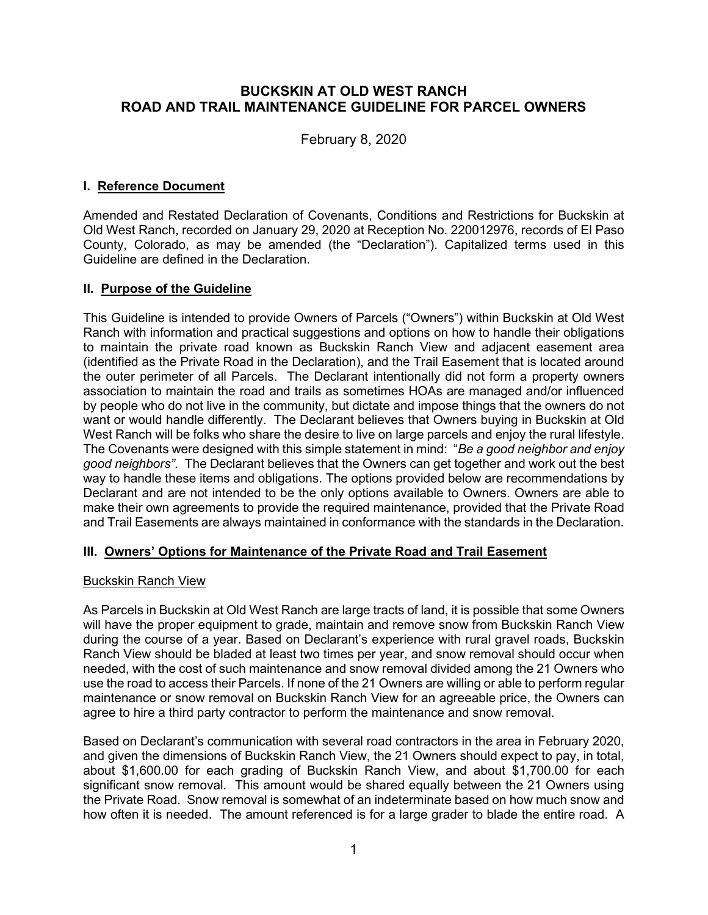## **BUCKSKIN AT OLD WEST RANCH ROAD AND TRAIL MAINTENANCE GUIDELINE FOR PARCEL OWNERS**

February 8, 2020

## **I. Reference Document**

Amended and Restated Declaration of Covenants, Conditions and Restrictions for Buckskin at Old West Ranch, recorded on January 29, 2020 at Reception No. 220012976, records of El Paso County, Colorado, as may be amended (the "Declaration"). Capitalized terms used in this Guideline are defined in the Declaration.

## **II. Purpose of the Guideline**

This Guideline is intended to provide Owners of Parcels ("Owners") within Buckskin at Old West Ranch with information and practical suggestions and options on how to handle their obligations to maintain the private road known as Buckskin Ranch View and adjacent easement area (identified as the Private Road in the Declaration), and the Trail Easement that is located around the outer perimeter of all Parcels. The Declarant intentionally did not form a property owners association to maintain the road and trails as sometimes HOAs are managed and/or influenced by people who do not live in the community, but dictate and impose things that the owners do not want or would handle differently. The Declarant believes that Owners buying in Buckskin at Old West Ranch will be folks who share the desire to live on large parcels and enjoy the rural lifestyle. The Covenants were designed with this simple statement in mind: "*Be a good neighbor and enjoy good neighbors".* The Declarant believes that the Owners can get together and work out the best way to handle these items and obligations. The options provided below are recommendations by Declarant and are not intended to be the only options available to Owners. Owners are able to make their own agreements to provide the required maintenance, provided that the Private Road and Trail Easements are always maintained in conformance with the standards in the Declaration.

## **III. Owners' Options for Maintenance of the Private Road and Trail Easement**

#### Buckskin Ranch View

As Parcels in Buckskin at Old West Ranch are large tracts of land, it is possible that some Owners will have the proper equipment to grade, maintain and remove snow from Buckskin Ranch View during the course of a year. Based on Declarant's experience with rural gravel roads, Buckskin Ranch View should be bladed at least two times per year, and snow removal should occur when needed, with the cost of such maintenance and snow removal divided among the 21 Owners who use the road to access their Parcels. If none of the 21 Owners are willing or able to perform regular maintenance or snow removal on Buckskin Ranch View for an agreeable price, the Owners can agree to hire a third party contractor to perform the maintenance and snow removal.

Based on Declarant's communication with several road contractors in the area in February 2020, and given the dimensions of Buckskin Ranch View, the 21 Owners should expect to pay, in total, about \$1,600.00 for each grading of Buckskin Ranch View, and about \$1,700.00 for each significant snow removal. This amount would be shared equally between the 21 Owners using the Private Road. Snow removal is somewhat of an indeterminate based on how much snow and how often it is needed. The amount referenced is for a large grader to blade the entire road. A